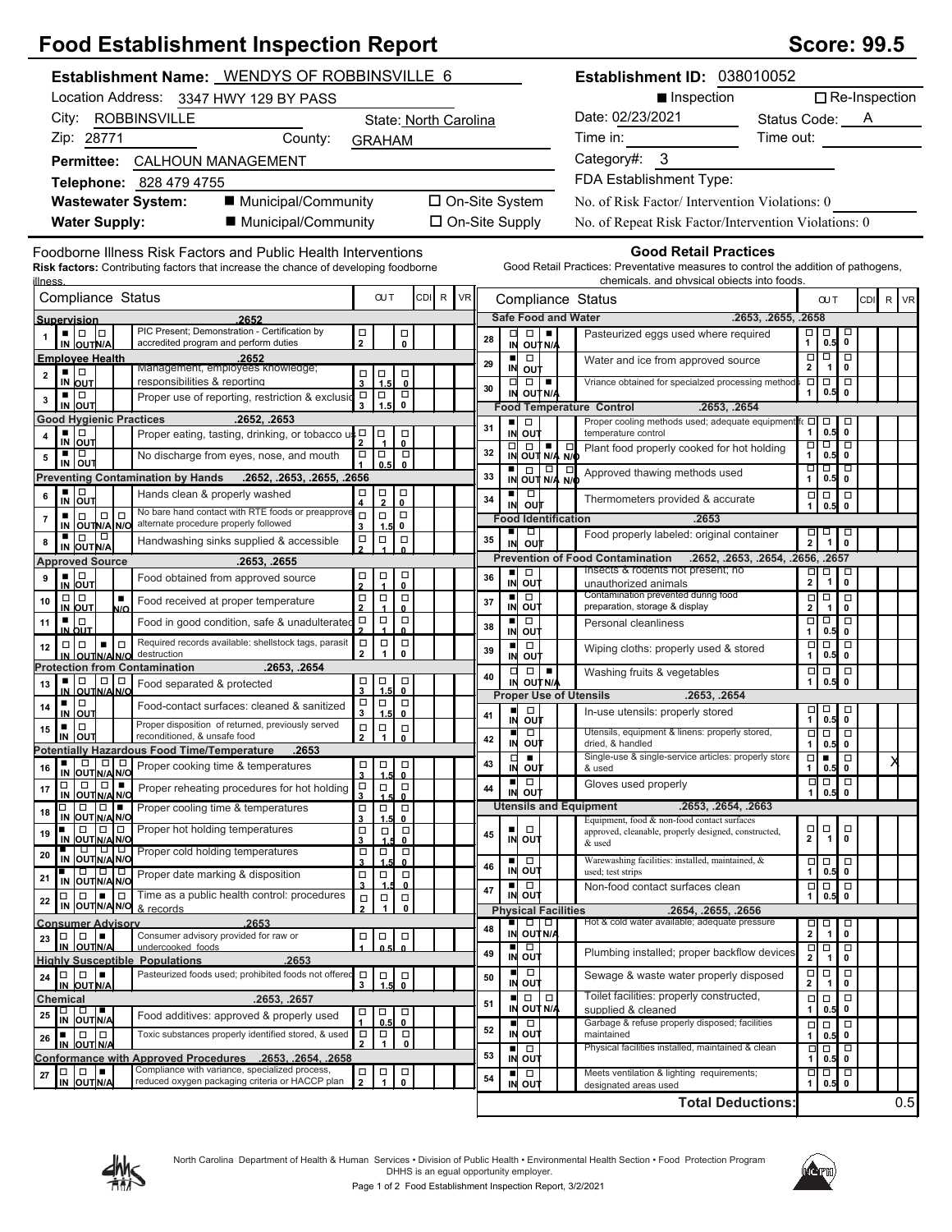| <b>Food Establishment Inspection Report</b>                                                                                                                                                                                           | <b>Score: 99.5</b>                                                                                                                                                                         |
|---------------------------------------------------------------------------------------------------------------------------------------------------------------------------------------------------------------------------------------|--------------------------------------------------------------------------------------------------------------------------------------------------------------------------------------------|
| Establishment Name: WENDYS OF ROBBINSVILLE 6                                                                                                                                                                                          | Establishment ID: 038010052                                                                                                                                                                |
| Location Address: 3347 HWY 129 BY PASS                                                                                                                                                                                                | $\Box$ Re-Inspection<br>■ Inspection                                                                                                                                                       |
| City: ROBBINSVILLE<br>State: North Carolina                                                                                                                                                                                           | Date: 02/23/2021<br>Status Code: A                                                                                                                                                         |
| Zip: 28771<br>County:<br><b>GRAHAM</b>                                                                                                                                                                                                | Time out:<br>Time in:                                                                                                                                                                      |
| Permittee: CALHOUN MANAGEMENT                                                                                                                                                                                                         | Category#: 3                                                                                                                                                                               |
| Telephone: 828 479 4755                                                                                                                                                                                                               | FDA Establishment Type:                                                                                                                                                                    |
| ■ Municipal/Community<br><b>Wastewater System:</b>                                                                                                                                                                                    | □ On-Site System<br>No. of Risk Factor/Intervention Violations: 0                                                                                                                          |
| <b>Water Supply:</b><br>■ Municipal/Community                                                                                                                                                                                         | $\Box$ On-Site Supply<br>No. of Repeat Risk Factor/Intervention Violations: 0                                                                                                              |
|                                                                                                                                                                                                                                       |                                                                                                                                                                                            |
| Foodborne Illness Risk Factors and Public Health Interventions<br><b>Risk factors:</b> Contributing factors that increase the chance of developing foodborne                                                                          | <b>Good Retail Practices</b><br>Good Retail Practices: Preventative measures to control the addition of pathogens,                                                                         |
| illness                                                                                                                                                                                                                               | chemicals. and physical objects into foods.                                                                                                                                                |
| Compliance Status<br><b>OUT</b><br>CDI R<br><b>VR</b>                                                                                                                                                                                 | Compliance Status<br>R VR<br><b>CUT</b><br><b>CDI</b>                                                                                                                                      |
| Supervision<br>2652<br>PIC Present; Demonstration - Certification by<br>. 10 10                                                                                                                                                       | <b>Safe Food and Water</b><br>.2653, .2655, .2658<br>$\Box$<br>$\Box$<br>□                                                                                                                 |
| $\Box$<br>$\Box$<br>$\mathbf{2}$<br>$\mathbf{0}$<br>accredited program and perform duties<br>IN OUTN/A                                                                                                                                | $\overline{\bullet}$<br>口<br>1<br>Pasteurized eggs used where required<br>28<br>0.5<br>IN OUT N/A                                                                                          |
| <b>Employee Health</b><br>.2652<br>Management, employees knowledge;<br>∎∣⊡<br>$\Box$                                                                                                                                                  | $\boxed{\Box}$<br>$\overline{\square}$<br>$\overline{\square}$<br>$\blacksquare$<br>$\Box$<br>Water and ice from approved source<br>29<br>$\mathbf{2}$<br>$\mathbf{1}$<br>0<br>IN<br>out   |
| $\begin{array}{c} \square \\ 3 \end{array}$<br>1.5<br>$\overline{2}$<br>responsibilities & reporting<br>IN OUT<br>$\mathbf{0}$<br>$\Box$<br>▪ ▏□<br>$\Box$<br>$\Box$                                                                  | $\Box$<br>$\Box$<br>Vriance obtained for specialzed processing methods $\square$<br>$\Box$ $\Box$<br>30<br>0.5<br>$\mathbf 0$<br>IN<br>OUT N/A<br>1                                        |
| Proper use of reporting, restriction & exclusio<br>3<br>$\mathbf{0}$<br>1.5<br>$\overline{\mathbf{3}}$<br>IN OUT                                                                                                                      | <b>Food Temperature Control</b><br>.2653, .2654                                                                                                                                            |
| <b>Good Hygienic Practices</b><br>.2652, .2653<br>▪ □<br>o<br>∣□<br>$\Box$<br>Proper eating, tasting, drinking, or tobacco u<br>4                                                                                                     | Proper cooling methods used; adequate equipment fr [<br>$\begin{array}{ c c }\n\hline\n0.5 & 0\n\end{array}$<br>$\blacksquare$<br>$\Box$<br>31<br>IN OUT<br>temperature control<br>1       |
| IN OUT<br>0<br>▪ □<br>$\Box$<br>$\Box$<br>No discharge from eyes, nose, and mouth<br>5                                                                                                                                                | □<br>० १०<br>$\Box$<br>$\Box$<br>$\blacksquare$<br>$\Box$<br>Plant food properly cooked for hot holding<br>32<br>$0.5$ 0<br>IN OUT N/A N/O<br>$\mathbf{1}$                                 |
| $\overline{\phantom{0}}^0$<br>IN OUT<br>0.5<br><b>Preventing Contamination by Hands</b><br>.2652, .2653, .2655, .2656                                                                                                                 | णण<br>$\frac{1}{N}$ out $\frac{1}{N/4}$ $\frac{1}{N/6}$<br>□<br>Approved thawing methods used<br>33<br>$0.5$ 0<br>1                                                                        |
| ▪ □<br>$\begin{matrix} \square \\ 0 \end{matrix}$<br>$\Box$<br>Hands clean & properly washed<br>6<br>IN OUT                                                                                                                           | $\frac{1}{N}$<br>$\Box$<br>727<br>Thermometers provided & accurate<br>34                                                                                                                   |
| $\frac{1}{2}$<br>4<br>No bare hand contact with RTE foods or preapprove<br>$\Box$ $\Box$<br>$\Box$<br>$\Box$<br>$\overline{7}$                                                                                                        | ουτ<br><b>Food Identification</b><br>.2653                                                                                                                                                 |
| IN OUTINA NO alternate procedure properly followed<br>3<br>1.5<br>0<br>∎∣⊡<br>$\Box$<br>$\Box$<br>$\Box$<br>Handwashing sinks supplied & accessible<br>8                                                                              | ٠<br>$\Box$<br>$\overline{\phantom{a}}$<br>$\overline{\overline{0}}$<br>Food properly labeled: original container<br>미<br>2<br>35<br>IN                                                    |
| $\frac{\Box}{2}$<br>IN OUT N/A<br><b>Approved Source</b><br>.2653, .2655                                                                                                                                                              | out<br><b>Prevention of Food Contamination</b><br>.2652, .2653, .2654, .2656, .2657                                                                                                        |
| $\overline{\phantom{0}}_{\phantom{0}}^{\square}$<br>$\blacksquare$<br>$\frac{\Box}{4}$<br>믓<br>Food obtained from approved source<br>9                                                                                                | Insects & rodents not present; no<br>$\Box$<br>$\Box$<br>$\Box$<br>$\Box$<br>п<br>36<br>$\mathbf 2$<br>$\overline{1}$<br>$\mathbf 0$<br>IN<br>out                                          |
| IN OUT<br>$\Box   \Box$<br>$\Box$<br>$\Box$<br>$\Box$<br>$\blacksquare$<br>Food received at proper temperature<br>10                                                                                                                  | unauthorized animals<br>Contamination prevented during food<br>$\blacksquare$<br>$\Box$<br>$\frac{1}{2}$<br>$\Box$<br>37                                                                   |
| $\overline{2}$<br>IN OUT<br>$\Omega$<br>N/O<br>$\Box$<br>$\Box$<br>$\Box$<br>▪ ∣□<br>Food in good condition, safe & unadulterated<br>11                                                                                               | IN OUT<br>preparation, storage & display<br>$\mathbf 0$<br>ᇚ<br>þ<br>$\Box$<br>$\Box$<br>$\blacksquare$<br>Personal cleanliness                                                            |
| IN OUT<br>0<br>Required records available: shellstock tags, parasit<br>1 = 1 ¤<br>$\Box$<br>$\Box   \Box$                                                                                                                             | 38<br>IN OUT<br>$\mathbf{1}$<br>$\pmb{0}$<br>0.5<br>$\Box$<br>$\Box$<br>$\blacksquare$<br>$\Box$                                                                                           |
| $\begin{array}{c}\n\Box \\ 1\n\end{array}$<br>$_{\rm 0}^{\square}$<br>12<br>$\overline{2}$<br>destruction<br>IN OUTNAINO                                                                                                              | Wiping cloths: properly used & stored<br>39<br>IN<br>0.5<br>$\pmb{0}$<br>out<br>1                                                                                                          |
| <b>Protection from Contamination</b><br>.2653, .2654<br>$\frac{1}{3}$ $\frac{1}{1.5}$<br>$_{\rm o}^{\Box}$<br>■ □ □ □<br><u>IN OUTN/AN/O</u><br>Food separated & protected<br>13                                                      | $\Box$<br>$\Box$<br>$\Box$<br>$\Box$<br>$\Box$<br>Washing fruits & vegetables<br>40<br>1<br>$\mathbf 0$<br>IN OUTNA<br>0.5                                                                 |
| ▐□<br>$\Box$<br>о<br>▪ │□<br>Food-contact surfaces: cleaned & sanitized<br>14                                                                                                                                                         | <b>Proper Use of Utensils</b><br>.2653, .2654                                                                                                                                              |
| 3<br>IN OUT<br>1.5<br>$\mathbf{0}$<br>Proper disposition of returned, previously served<br>$\Box   \Box  $<br>$\blacksquare$<br>$\Box$<br>$\Box$<br>15                                                                                | $\frac{1}{10.5}$<br>$\Box$<br>п<br>In-use utensils: properly stored<br>41<br>o∪t<br>IN                                                                                                     |
| IIN OUT<br>reconditioned, & unsafe food<br><u> 2   1   0  </u><br>and the state of the<br><b>Potentially Hazardous Food Time/Temperature</b><br>.2653                                                                                 | न न न<br>Utensils, equipment & linens: properly stored,<br>$\Box$<br>п<br>42<br>IN<br>out<br>dried, & handled<br>$0.5$ 0<br>$\mathbf{1}$                                                   |
| 0 0 0<br>$\Box$<br>Proper cooking time & temperatures<br>□<br>$\Box$<br>16                                                                                                                                                            | Single-use & single-service articles: properly store<br>$\overline{\Box}$<br>$\overline{\phantom{a}}$<br>$\Box$<br>$\blacksquare$<br>X<br>43<br>IN OUT<br>& used<br>1<br>0.5 0             |
| IN OUT N/A N/O<br>$\overline{\mathbf{3}}$<br>1.5<br>$\overline{\mathbf{0}}$<br>□∣<br>$\begin{array}{c}\n\Box \\ 3\n\end{array}$<br>$\Box$<br>$\Box$<br>Proper reheating procedures for hot holding<br>17                              | $rac{1}{\infty}$<br>■□<br>Gloves used properly<br>ᄆ<br>44<br>IN OUT<br>1                                                                                                                   |
| IN OUT N/A N/C<br>$\mathbf{0}$<br>10 I L<br>0<br>$\Box$<br>Proper cooling time & temperatures<br>$\Box$<br>$\Box$<br>$\Box$<br>18                                                                                                     | <b>Utensils and Equipment</b><br>.2653, .2654, .2663                                                                                                                                       |
| IN OUT N/A N/O<br>$\mathbf 3$<br>1.5<br>$\mathbf{0}$<br>$\Box$ 0 0<br>Proper hot holding temperatures<br>$\Box$<br>$\Box$<br>$\Box$<br>19                                                                                             | Equipment, food & non-food contact surfaces<br>$\Box \Box$<br>$\Box$<br>$\Box$<br>approved, cleanable, properly designed, constructed,<br>45                                               |
| IN OUT N/A N/O<br>3<br>0<br><b>. 1010101</b><br>Proper cold holding temperatures<br>$\Box$<br>$\Box$<br>□<br>20                                                                                                                       | 2<br>$\overline{1}$<br>$\mathbf{0}$<br>IN OUT<br>& used                                                                                                                                    |
| IN OUTNA NO<br>3<br>1.5<br>$\mathbf{0}$<br>000<br>$\Box$<br>Proper date marking & disposition<br>$\Box$<br>$\Box$                                                                                                                     | Warewashing facilities: installed, maintained, &<br>$\frac{1}{2}$ out<br>$\Box$<br>$\Box$<br>46<br>$0.5$ 0<br>used; test strips<br>1                                                       |
| 21<br>IN OUT N/A N/O<br>3<br><u>0</u><br>Time as a public health control: procedures<br>$\Box$<br>$\Box$<br>$\Box$<br>$\Box$                                                                                                          | $\Box$<br>Non-food contact surfaces clean<br>000<br>$\blacksquare$<br>47<br>IN OUT<br>1<br>$\pmb{0}$<br>0.5                                                                                |
| $\frac{\Box}{2}$<br>22<br>IN OUT N/A N/O & records<br>$\mathbf{1}$<br>$\mathbf 0$                                                                                                                                                     | <b>Physical Facilities</b><br>.2654, .2655, .2656                                                                                                                                          |
| .2653<br><b>Consumer Advisory</b><br>Consumer advisory provided for raw or<br>$\Box$<br>$\Box$<br>$\Box$<br>23                                                                                                                        | Hot & cold water available; adequate pressure<br>$\Box$<br>$\blacksquare$<br>o<br>$\overline{\phantom{0}}_{\phantom{0}}^{\square}$<br>$\frac{\Box}{2}$<br>48<br>$\mathbf{1}$<br>IN OUT N/A |
| $\int_{0.5}^{\infty}$<br>$\begin{matrix} 1 \\ 0 \end{matrix}$<br>IN OUTN/A<br>undercooked foods<br><b>Highly Susceptible Populations</b><br>.2653                                                                                     | ■∣<br>$\Box$<br>$\overline{\mathbf{p}}$<br>$\Box$<br>$\Box$<br>Plumbing installed; proper backflow devices<br>49<br>IN OUT<br>$\pmb{0}$<br>-1                                              |
| Pasteurized foods used; prohibited foods not offered<br>$\Box$<br>$\begin{array}{c}\n\Box \\ 3\n\end{array}$<br>$\Box$<br>$\Box$<br>$\overline{0}$<br>24                                                                              | ■ □<br>$\Box$<br>$\Box$<br>$\Box$<br>Sewage & waste water properly disposed<br>50                                                                                                          |
| IN OUT N/A<br>1.5<br>Chemical<br>.2653, .2657                                                                                                                                                                                         | IN OUT<br>$\mathbf 2$<br>$\mathbf{1}$<br>0<br>Toilet facilities: properly constructed,<br>$\Box$<br>$\Box$<br>$\Box$<br>$\Box$<br>$\Box$                                                   |
| <b>.</b><br>$\Box$<br>$\Box$<br>$\Box$<br>25<br>Food additives: approved & properly used<br>IN OUTN/A<br>0.5<br>0                                                                                                                     | 51<br>IN OUT N/A<br>1<br>0<br>0.5<br>supplied & cleaned                                                                                                                                    |
| Toxic substances properly identified stored, & used<br>$\Box$<br>$\blacksquare$ $\blacksquare$ $\blacksquare$<br>$\Box$<br>$\Box$<br>26<br>$\mathbf{1}$<br>$\pmb{0}$<br>$\mathbf{2}$                                                  | Garbage & refuse properly disposed; facilities<br>□<br>$\Box$<br>$\Box$<br>$\Box$<br>52<br>IN OUT<br>maintained<br>$0.5$ 0<br>1                                                            |
| IN OUT N/A<br>Conformance with Approved Procedures .2653, .2654, .2658                                                                                                                                                                | Physical facilities installed, maintained & clean<br>०   ०<br>. .<br>$\Box$<br>53<br>IN OUT<br>1<br>0.5<br>$\mathbf 0$                                                                     |
| Compliance with variance, specialized process,<br>$\Box   \Box   =$<br>$\Box$<br>$\Box$<br>$\overline{\mathbf{0}}$<br>$\mathbf{27}$<br>$\overline{2}$<br>$\mathbf{1}$<br>reduced oxygen packaging criteria or HACCP plan<br>IN OUTN/A | Meets ventilation & lighting requirements;<br>$\begin{bmatrix} 1 \\ 0.5 \end{bmatrix}$<br>$\Box$<br>□<br>54<br>IN OUT<br>1<br>0.5<br>designated areas used                                 |
|                                                                                                                                                                                                                                       | 0.5<br><b>Total Deductions:</b>                                                                                                                                                            |